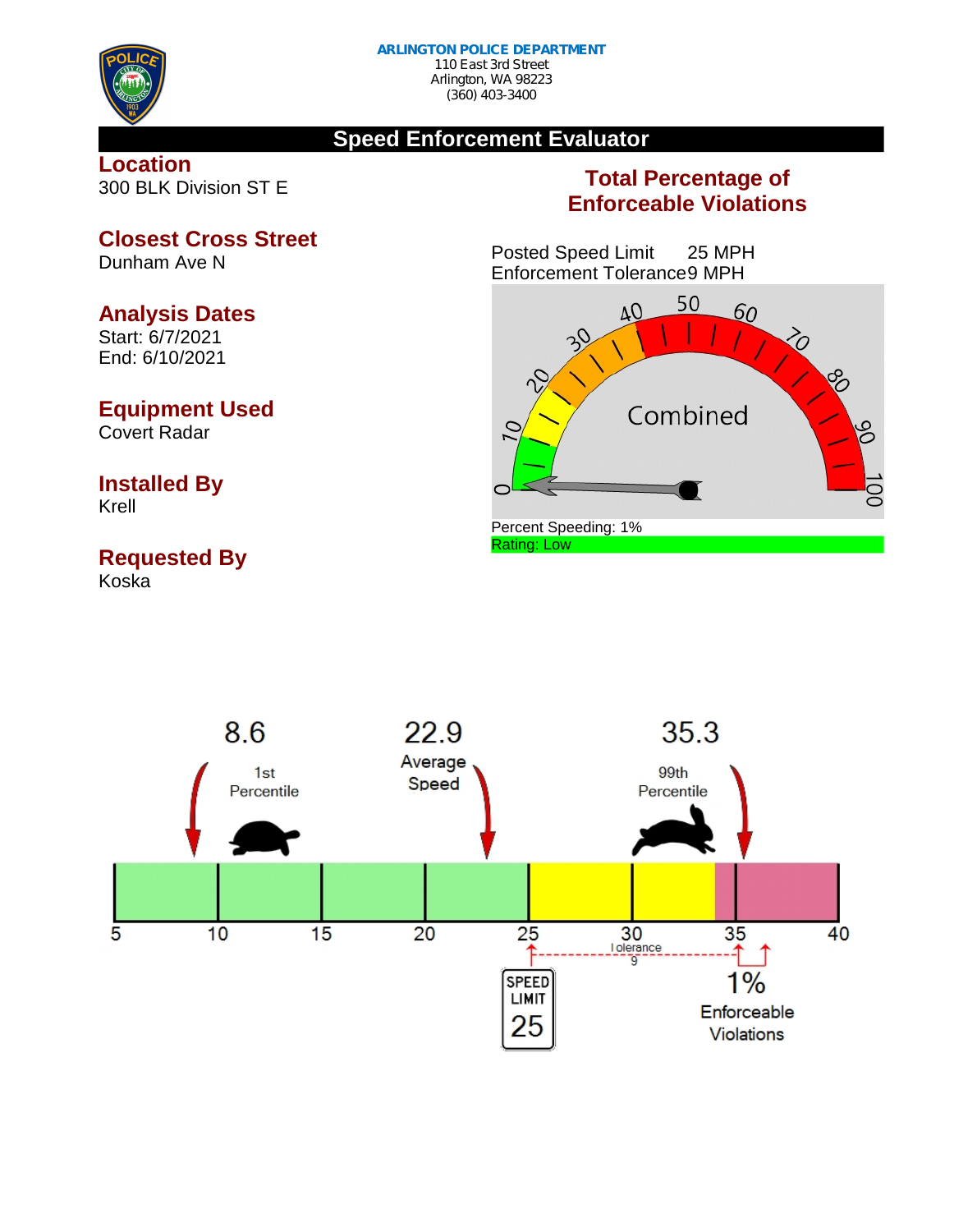

### **Speed Enforcement Evaluator**

#### **Location** 300 BLK Division ST E

### **Total Percentage of Enforceable Violations**

Posted Speed Limit 25 MPH Enforcement Tolerance9 MPH



#### 22.9 35.3 86 Average 99th  $1st$ Speed Percentile Percentile 5  $10$ 15 20 25 30 35 40 **I** olerance ↑ ō  $1%$ **SPEED LIMIT** Enforceable 25 **Violations**

**Closest Cross Street**

Dunham Ave N

### **Analysis Dates**

Start: 6/7/2021 End: 6/10/2021

### **Equipment Used**

Covert Radar

## **Installed By**

Krell

# **Requested By**

Koska